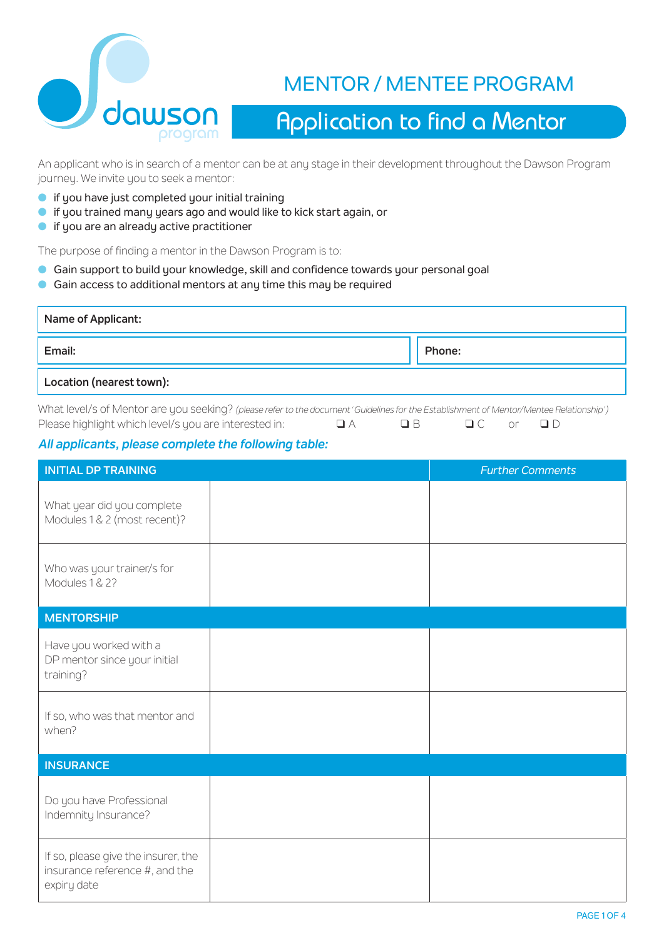

# MENTOR / MENTEE PROGRAM

# Application to find a Mentor

An applicant who is in search of a mentor can be at any stage in their development throughout the Dawson Program journey. We invite you to seek a mentor:

- $\bullet$  if you have just completed your initial training
- **o** if you trained many years ago and would like to kick start again, or
- $\bullet$  if you are an already active practitioner

The purpose of finding a mentor in the Dawson Program is to:

- **Gain support to build your knowledge, skill and confidence towards your personal goal**
- **Gain access to additional mentors at any time this may be required**

| Name of Applicant:       |        |
|--------------------------|--------|
| Email:                   | Phone: |
| Location (nearest town): |        |

What level/s of Mentor are you seeking? *(please refer to the document 'Guidelines for the Establishment of Mentor/Mentee Relationship')* Please highlight which level/s you are interested in:  $\Box A$   $\Box B$   $\Box C$  or  $\Box D$ 

#### *All applicants, please complete the following table:*

| <b>INITIAL DP TRAINING</b>                                                           | <b>Further Comments</b> |
|--------------------------------------------------------------------------------------|-------------------------|
| What year did you complete<br>Modules 1 & 2 (most recent)?                           |                         |
| Who was your trainer/s for<br>Modules 1 & 2?                                         |                         |
| <b>MENTORSHIP</b>                                                                    |                         |
| Have you worked with a<br>DP mentor since your initial<br>training?                  |                         |
| If so, who was that mentor and<br>when?                                              |                         |
| <b>INSURANCE</b>                                                                     |                         |
| Do you have Professional<br>Indemnity Insurance?                                     |                         |
| If so, please give the insurer, the<br>insurance reference #, and the<br>expiry date |                         |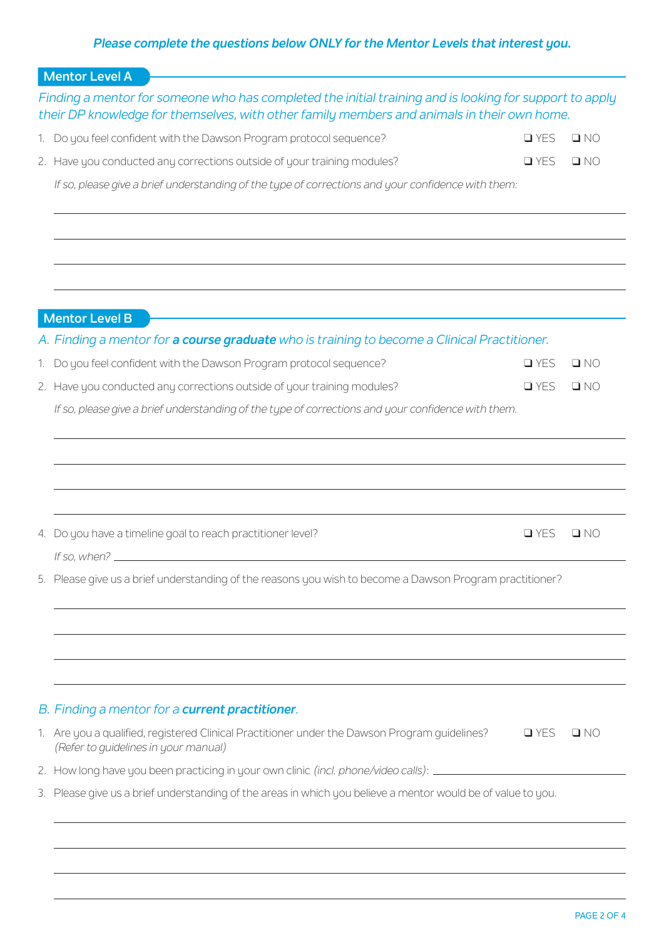## *Please complete the questions below ONLY for the Mentor Levels that interest you.*

| <b>Mentor Level A</b>                                                                                                                                                                                  |            |              |
|--------------------------------------------------------------------------------------------------------------------------------------------------------------------------------------------------------|------------|--------------|
| Finding a mentor for someone who has completed the initial training and is looking for support to apply<br>their DP knowledge for themselves, with other family members and animals in their own home. |            |              |
| 1. Do you feel confident with the Dawson Program protocol sequence?                                                                                                                                    | $\Box$ YES | $\square$ NO |
| 2. Have you conducted any corrections outside of your training modules?                                                                                                                                | $\Box$ YES | $\square$ NO |
| If so, please give a brief understanding of the type of corrections and your confidence with them:                                                                                                     |            |              |
|                                                                                                                                                                                                        |            |              |
| <b>Mentor Level B</b>                                                                                                                                                                                  |            |              |
| A. Finding a mentor for a course graduate who is training to become a Clinical Practitioner.                                                                                                           |            |              |
| 1. Do you feel confident with the Dawson Program protocol sequence?                                                                                                                                    | $\Box$ YES | $\square$ NO |
| 2. Have you conducted any corrections outside of your training modules?                                                                                                                                | $\Box$ YES | $\square$ NO |
| If so, please give a brief understanding of the type of corrections and your confidence with them.                                                                                                     |            |              |
|                                                                                                                                                                                                        |            |              |
| 4. Do you have a timeline goal to reach practitioner level?<br>If so, when? $\frac{1}{2}$                                                                                                              | $\Box$ YES | QNO          |
| 5. Please give us a brief understanding of the reasons you wish to become a Dawson Program practitioner?                                                                                               |            |              |
|                                                                                                                                                                                                        |            |              |
| B. Finding a mentor for a <b>current practitioner</b> .                                                                                                                                                |            |              |
| 1. Are you a qualified, registered Clinical Practitioner under the Dawson Program guidelines?<br>(Refer to quidelines in your manual)                                                                  | $\Box$ YES | $\Box$ NO    |
| 2. How long have you been practicing in your own clinic (incl. phone/video calls): __________                                                                                                          |            |              |
| 3. Please give us a brief understanding of the areas in which you believe a mentor would be of value to you.                                                                                           |            |              |
|                                                                                                                                                                                                        |            |              |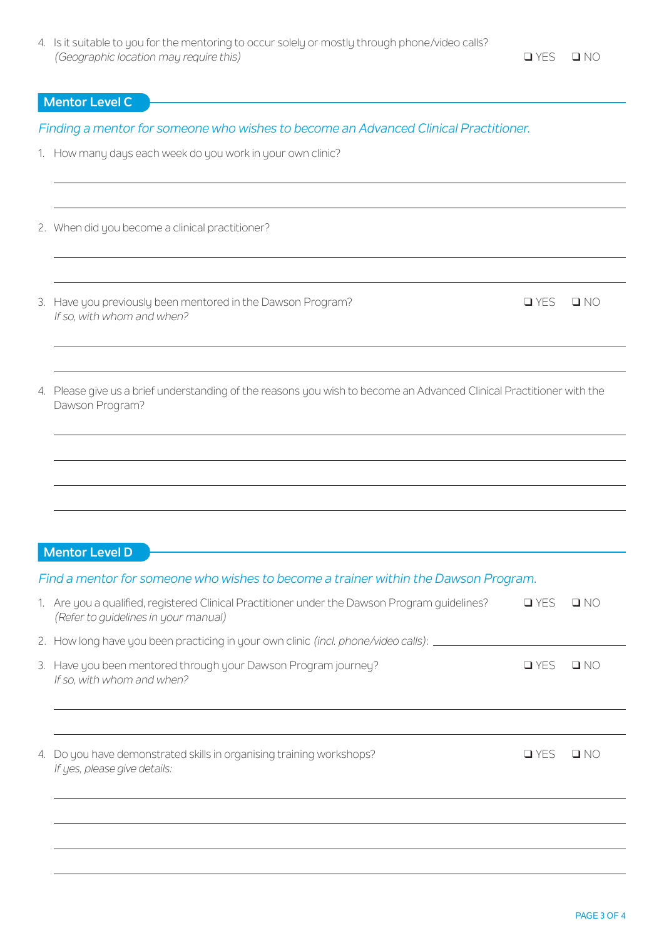### **Mentor Level C**

*Finding a mentor for someone who wishes to become an Advanced Clinical Practitioner.* 

- 1. How many days each week do you work in your own clinic?
- 2. When did you become a clinical practitioner?

3. Have you previously been mentored in the Dawson Program?  $QYES = NQ$ *If so, with whom and when?*

| 4. Please give us a brief understanding of the reasons you wish to become an Advanced Clinical Practitioner with the |
|----------------------------------------------------------------------------------------------------------------------|
| Dawson Program?                                                                                                      |

#### **Mentor Level D**

| Find a mentor for someone who wishes to become a trainer within the Dawson Program.                                                   |            |           |
|---------------------------------------------------------------------------------------------------------------------------------------|------------|-----------|
| 1. Are you a qualified, registered Clinical Practitioner under the Dawson Program quidelines?<br>(Refer to quidelines in your manual) | $\Box$ YES | $\Box$ No |
| 2. How long have you been practicing in your own clinic (incl. phone/video calls): _____                                              |            |           |
| 3. Have you been mentored through your Dawson Program journey?<br>If so, with whom and when?                                          | $\Box$ YES | O NO      |
|                                                                                                                                       |            |           |
| 4. Do you have demonstrated skills in organising training workshops?<br>If yes, please give details:                                  | $\Box$ YES | $\Box$ No |
|                                                                                                                                       |            |           |
|                                                                                                                                       |            |           |
|                                                                                                                                       |            |           |